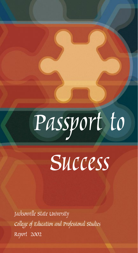# Passport to

**Success** 

Jacksonville State University College of Education and Professional Studies Report 2002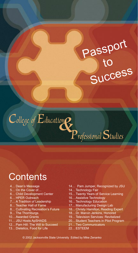Passport to Success



#### **Contents**

- 4… Dean's Message
- 5… On the Cover of…
- 6… Child Development Center
- 6… HPER Outreach
- 7… A Tradition of Leadership
- 8… Teacher Hall of Fame
- 8… Cultivating Recreation's Future
- 9… The Thornburgs
- 10…Awarded Grants
- 11… JSU Hosts ApSHADS
- 12…Pam Hill: The Will to Succeed
- 13…Dietetics, Food for Life
- 14… Pam Jumper, Recognized by JSU
- 14... Technology Fair
- 15…Twenty Years of Service Learning
- 16…Assistive Technology
- 16…Technology Education
- 17... Manufacturing Design Lab
- 18…Christy Hamilton, Reading Expert
- 18…Dr. Marvin Jenkins, Honored
- 19…Television Services: Revitalized
- 20…Student Teachers in Pilot Program
- 21…Two Communicators
- 22…ESTEEM

© 2002 Jacksonville State University Edited by Mike Zenanko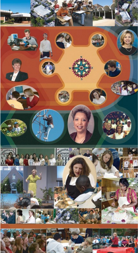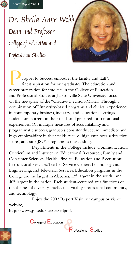## Dr. Sheila Anne Webb Dean and Professor College of Education and Professional Studies



assport to Success embodies the faculty and staff's finest aspiration for our graduates. The education and career preparation for students in the College of Education and Professional Studies at Jacksonville State University focus on the metaphor of the "Creative Decision-Maker." Through a combination of University-based programs and clinical experiences in contemporary business, industry, and educational settings, students are current in their fields and prepared for transitional experiences. On multiple measures of accountability and programmatic success, graduates consistently secure immediate and high employability in their fields, receive high employer satisfaction scores, and rank JSU's programs as outstanding.

 Departments in the College include: Communication; Curriculum and Instruction; Educational Resources; Family and Consumer Sciences; Health, Physical Education and Recreation; Instructional Services; Teacher Service Center; Technology and Engineering, and Television Services. Education programs in the College are the largest in Alabama, 13<sup>th</sup> largest in the south, and 40th largest in the nation. Each student-centered area functions on the themes of diversity, intellectual vitality, professional community, and technology.

 Enjoy the 2002 Report. Visit our campus or via our website,

Professional Studies

http://www.jsu.edu/depart/edprof.

College of Education

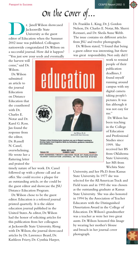#### On the Cover of…

r. Janell Wilson showcased Jacksonville State University as the guest editor of Education when the Summer 2002 issue was published. Colleagues nationwide congratulated Dr. Wilson on a successful journal. How did it happen? "You just sow your seeds and eventually

the harvest will come," said Dr. Wilson.

Dr. Wilson submitted an article to the journal Education on Distance Education that she coauthored with Dr. Charles E. Notar and Dr. Karol G. Ross. Jan found the response from the editor, Dr. Russell N. Cassel, overwhelming. He wrote her a flattering letter and praised the



timely nature of her work. Dr. Cassel followed up with a phone call and an offer. She could receive a plaque for an outstanding article, or she could be the guest editor and showcase the JSU Distance Education Program.

Dr. Wilson chose to be the guest editor. Education is a refereed journal printed quarterly. It is the oldest education journal published in the United States. As editor, Dr. Wilson had the honor of soliciting articles for this publication from her colleagues at Jacksonville State University. Along with Dr. Wilson, the journal showcased articles by Dr. Lawrence Beard, Dr. Kathleen Friery, Dr. Cynthia Harper,

Dr. Franklin L. King, Dr. J. Gordon Nelson, Dr. Charles E. Notar, Ms. Sherri Restauri, and Dr. Sheila Anne Webb. The issue contains six different articles from JSU and twelve photographs.

Dr. Wilson stated, "I found that being a guest editor was interesting, but there was great responsibility. Not only did I

> work to remind people of their publication deadlines, I found myself running around campus with my digital camera taking people's pictures. It was fun although it was not easy for me."

Dr. Wilson has been teaching in the College of Education and Professional Studies since 1999. She received her BS from Oklahoma State University, her MS from Wichita State

University, and her Ph.D. from Kansas State University. In 1977 she was selected for the All American Track and Field team and in 1993 she was chosen as the outstanding graduate at Kansas State University. She was also honored in 1994 by the Association of Teacher Educators with the Distinguished Dissertation Award in the College of Education. Dr. Wilson's grandmother was a teacher as were her two great aunts. Dr. Wilson honored this linage by wearing her mother's blouse and broach in her journal cover photograph.

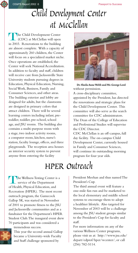#### Child Development Center at McClellan

he Child Development Center (CDC) at McClellan will open in 2003. Renovations to the building are almost complete. With a capacity of approximately 260 children, the Center will focus on a specialized market niche. Once operations are established, the Center will seek National Accreditation. In addition to faculty and staff, children will receive care from Jacksonville State University students pursuing degrees in Education, Physical Education, Nursing, Social Work, Business, Family and Consumer Sciences, and other areas. The building exterior and lobby are designed for adults, but the classrooms are designed in primary colors that attract children. There will be several learning centers including infant, pretoddler, toddler, pre-school, school age, and JSU rooms. The building also contains a multi-purpose room with a stage, two indoor activity rooms, a computer room, kitchen, nurse's station, faculty lounge, offices, and three playgrounds. The reception area houses an interior security system to prevent anyone from entering the facility



**Dr. Sheila Anne Webb and Mr. George Lord** without permission. A cross-disciplinary committee, appointed by the President, has directed the renovations and strategic plans for the Child Development Center. This committee will also serve as the search committee for CDC administrators. The Dean of the College of Education and Professional Studies will supervise the CDC Director.

CDC McClellan is an off-campus, full day facility. The on-campus Child Development Center, currently housed in Family and Consumer Sciences, will continue its outstanding morning program for four year olds.

#### HPER Outreach

The Wellness Testing Center is a service of the Department of Health, Physical Education, and Recreation (HPER). The most recent outreach program, the Gamecock Gallop 5K, was started in November of 2001 to promote fitness to the JSU and Jacksonville communities and as a fundraiser for the Department's HPER Student Club. The inaugural event drew 70 participants and was considered a

tremendous success. This year the second annual Gallop became a University-wide Faculty and Staff challenge sponsored by

President Meehan and thus named The President's Cup.

The third annual event will feature a one-mile fun run and be marketed to the local elementary and middle school systems to encourage them to adopt a healthier lifestyle. Also targeted for November of 2003 will be a challenge among the JSU student groups similar to the President's Cup for faculty and staff.

For more information on any of the various Wellness Center programs, please visit us at: http://www.jsu.edu/ depart/edprof/hper/wcenter/, or call (256) 782-5114.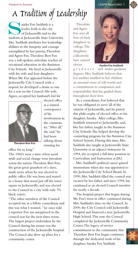# A Tradition of Leadership

andra Fox Sudduth is a leader, both in the city of Jacksonville and to the students at Jacksonville State University. Mrs. Sudduth attributes her leadership abilities to the integrity and courage exemplified by her parents, Theodore and Agnes Fox. Theodore Bert Fox was a soft-spoken, articulate teacher of vocational education in the Anniston City Schools. He lived in Jacksonville with his wife and four daughters. When Mr. Fox appeared before the Jacksonville City Council with a request, he developed a desire to run for a seat on the Council. His wife, Agnes, accepted her husband's bid for



elected office as a natural consequence of his involvement in the community. "After all," she said, "he had been talking about running for

**Theodore Bert Fox**

office for so long."

The 1960's were a time when racial strife and social change were prevalent across the nation. Theodore Bert Fox, the great-great grandson of a slave, made news when he was elected to public office. He was born and reared in a house that stood just off the town square in Jacksonville, and was elected to the Council in a city with only 7% black voters.

"The other members of the Council accepted me as a fellow councilman and this was what I wanted, " he once told a reporter. Fox ran unopposed in the council seat for the next three terms. The largest project undertaken by the Council during his tenure was the construction of the Jacksonville hospital. The Council also drew up plans for a community center.

Theodore and Agnes Fox sent all four of their daughters to college. The daughters collectively have earned eleven



**Sandra Fox Sudduth**

g r a d u a t e and under-graduate degrees. Mrs. Sudduth believes that her mother instilled in her children an essential sense of self-worth and a commitment to compassion and responsibility that has guided them throughout their lives.

As a councilman, Fox believed that he was obligated to serve all of the citizens of Jacksonville, and he passed this philo-sophy of elected office to his daughter, Sandra. After college, Mrs. Sudduth returned to Jacksonville, and, like her father, taught in the Anniston City Schools. She helped develop the counseling program for the Anniston City School System. During this time, Mrs. Sudduth also taught at Jacksonville State University as an adjunct instructor. In 1994, she accepted a full time position in Curriculum and Instruction at JSU.

Mrs. Sudduth's political career gained momentum when she was appointed to the Jacksonville City School Board. In 1990, Mrs. Sudduth filled the council seat vacated by her father, and since 1994, has continued as an elected Council member for nearly a decade.

The hospital project that began during Mr. Fox's term in office continued during Mrs. Sudduth's time on the Council. In 2000, the City Council sold Jacksonville Hospital and financed a new Jacksonville High School. This year, the Council completed the Jacksonville Community Center. The legacy of service commitment to the community that Theodore Bert Fox began continues through the dedicated work of his daughter, Sandra Fox Sudduth.



Passport to Success **CE&PS Report 2002 T**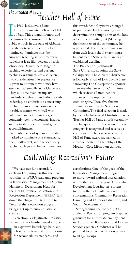# <sup>The President of JSU's</sup>  $\tau$ eacher Hall of Fame

I n 1969, Jacksonville State University initiated a Teacher Hall of Fam. This program honors and recognizes the classroom teachers of the public schools in the state of Alabama. Specific criteria are used to select nominees. Nominees must be currently teaching subject matter to students at least fifty percent of each school day. Degrees held, length of teaching experience, and current teaching assignments are also taken into consideration. No preference is given to nominees who may have attended Jacksonville State University. They must maintain exemplary standards of behavior and ethics, exhibit leadership, be enthusiastic concerning teaching, demonstrate competency in subject matter, work well with colleagues and administrators, and constantly seek to encourage, inspire, and motivate students toward greater accomplishments.

Each public school system in the state is asked to nominate one elementary, one middle-level, and one secondary teacher each year to be considered for

this award. School systems are urged to participate. Each school system determines the composition of the local selection committee, but JSU suggests that members of the community be represented. The three nominations from each local school system must be sent to the State Chairman by an established deadline. The President of Jacksonville State University appoints the State Chairperson. The current Chairperson is Dr. Kelly Ryan of Jacksonville State University. The Chairperson appoints a ten member Selection Committee which reviews all nominations and selects the top five finalists in each category. These five finalists are interviewed by the Selection Committee. The final selection is made by secret ballot vote. All finalists attend a Teacher Hall of Fame awards ceremony and banquet at JSU. The winner in each category is recognized and receives a certificate. Teachers who receive the Hall of Fame award are named on a plaque located in the lobby of the Houston Cole Library on campus.

#### Cultivating Recreation's Future

"We take our fun seriously", exclaims Dr. Jimmy Griffin, the new coordinator of JSU's academic program in Recreation Management. Dr. John Hammett, Department Head for the Health, Physical Education, and Recreation Department (HPER) laid down the charge for Dr. Griffin to "revamp the Recreation program, bringing it up to current national standards".

 Recreation is a legitimate profession marked by an identified need in society,

an expansive knowledge base, and a host of professional organizations for accountability, standards, and

certifications. One of the goals of the Recreation Management program is to move toward national accreditation within the next three years. Curriculum Development focusing on current trends in the field will likely offer three concentrations: Community Recreation, Camping and Outdoor Education, and Youth Development.

 Strengthening the roots of JSU's academic Recreation program prepares graduates for immediate employment in Local Parks, Recreation, and Leisure Service agencies. Graduates will be prepared to provide recreation programs to all age groups.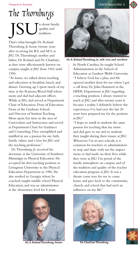Passport to Success **CE&PS Report 2002 9** 

# The Thornburgs

 $\int_S \bigcup$ <sup>is about family, and tradition.</sup> quality, and tradition.

That's what brought Dr. Roland Thornburg, Jr. home twenty years after receiving his B.S. and M.S. at JSU. Dr. Thornburg's mother and father, Dr. Roland and Dr. Charlotte, as they were affectionately known on campus, taught at JSU from 1962 until 1990.

"At home, we talked about teaching and education at breakfast, lunch, and dinner. Growing up, I spent much of my time at the Ramona Wood Hall where mom and dad had adjacent offices. While at JSU, dad served as Department Chair of Education, Dean of Education, Dean of the Graduate School, and Director of Student Teaching. Mom spent her time in the area of Curriculum and Instruction and served as Department Chair for Guidance and Counseling. They exemplified and instilled in me a passion for my faith, family values, and a love for JSU and the teaching profession."

Dr. Thornburg, Jr. received his doctorate at the University of Southern Mississippi in Physical Education. He accepted his first teaching position at Livingston University in the Physical Education Department in 1986. He also worked in Georgia where he coached, taught middle school Physical Education, and was an administrator at the elementary level for 8 years.



**Dr. A. Roland Thornburg, Senior**



**Dr. A. Roland Thornburg , Jr., wife Lori, and son Brett** 

In North Carolina, he taught School Administration in the School of Education at Gardner-Webb University. "I believe God has a plan, and He opened another door for me when I got a call from Dr. John Hammett in the HPER Department at JSU regarding a teaching position. I always wanted to teach at JSU, and after twenty years it became a reality. I definitely believe the experiences I've had over the last 20 years have prepared me for the position at JSU."

"I hope to instill in students the same passion for teaching that my mom and dad gave to me and to students they taught during their tenure at JSU. Whenever I'm in area schools, it is common for teachers or administrators to stop and share with me the impact mom or dad made on their lives while they were at JSU. I'm proud of the family atmosphere on campus, and of the tradition and quality of the teacher education program at JSU. It was a dream come true for me to come home and give back to the community, church, and school that had such an influence on my life."



**Dr. Charlotte Thornburg**

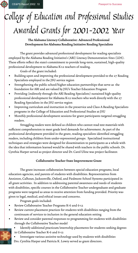# College of Education and Professional Studies Awarded Grants for 2001-2002 Year

**The Alabama Literacy Collaborative: Advanced Professional Development for Alabama Reading Initiative Reading Specialists**

The grant provides advanced professional development for reading specialists employed by the Alabama Reading Initiative's (ARI) Literacy Demonstration Sites (LDS). These efforts reflect the state's commitment to provide long-term, sustained, high-quality professional development to Alabama K-12 teachers of reading.

 Goals of the grant included:

- Building upon and improving the professional development provided to the 27 Reading Specialists employed in the JSU service region
- Strengthening the public school/higher education partnerships that serve as the foundation for ARI and are valued by JSU's Teacher Education Program
- Providing (indirectly through the ARI Reading Specialists) sustained high-quality professional development for Alabama K-12 teachers who work directly with the 27 Reading Specialists in the JSU service region
- Improving curriculum and instruction in the preservice and Class A Reading Specialists programs in the College of Education and Professional Studies at JSU
- Monthly professional development sessions for grant participants targeted struggling readers.

 Struggling readers were defined as children who cannot read text materials with sufficient comprehension to meet grade level demands for achievement. As part of the professional development provided in the grant, reading specialists identified struggling readers, including children from under-represented groups. Specialized instructional techniques and strategies were designed for dissemination to participants as a whole with the idea that information learned would be shared with teachers in the public schools. Dr. Cynthia Harper served as project directorand Dr.Carol Uline was project facilitator.

#### **Collaborative Teacher State Improvement Grant**

 The grant increases collaboration between special education programs, local education agencies, and parents of students with disabilities. Representatives from Anniston, Calhoun, Jacksonville,Oxford,and Piedmont School Systems participated in all grant activities. In addition to addressing parental awareness and needs of students with disabilities, specific courses in the Collaborative Teacher undergraduate and graduate programs were targeted as areas to receive attention from funding provided. Priority was given to legal, medical, and ethical issues and concerns.

 Program goals included:

- Review Collaborative Teacher Programs K-6 and 6-12
- Review current placement practices for students with disabilities ranging from the continuum of services to inclusion in the general education setting
- Review and consider parental responses to programming for students with disabilities through the Collaborative Teacher model
	- Identify additional practicum/internship placements for students seeking degrees in Collaborative Teacher K-6 and 6-12
	- Investigate various assistive technology used by students with disabilities Drs. Cynthia Harper and Patricia K. Lowry served as grant directors.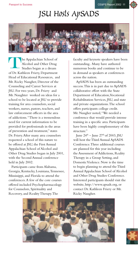#### JSU Hosts ApSADS



he Appalachian School of Alcohol and Other Drug Studies began as a dream of Dr. Kathleen Friery, Department Head of Educational Resources, and Mr. Ricky Naugher, Director of the Counseling and Career Services at JSU. For two years, Dr. Friery and Mr. Naughter worked on ideas for a school to be located at JSU to provide training for area counselors, social workers, nurses, pastors, teachers, and law enforcement officers in the area of addictions. "There is a tremendous need for current information to be provided for professionals in the areas of prevention and treatment," states Dr. Friery. After many area counselors requested a school of this nature to be offered at JSU, the First Annual Appalachian School of Alcohol and Other Drug Studies began in July 2001, with the Second Annual conference held in July 2002.

Participants came from Alabama, Georgia, Kentucky, Louisiana, Tennessee, Mississippi, and Florida to attend the conferences. A few of the core courses offered included Psychopharmacology for Counselors, Spirituality and Recovery, and Reality Therapy. The

faculty and keynote speakers have been outstanding.. Many have authored numerous books and continue to be in demand as speakers at conferences across the nation.

ApSADS has been an outstanding success. This is in part due to ApSADS collaborative effort with the State Department of Education, Vocational Rehabilitation Services, JSU, and state and private organizations. The school offers participants college credit. Mr. Naugher noted, "We needed a conference that would provide intense training in a specific area. Participants have been highly complementary of this structure."

June  $24<sup>th</sup>$  – June  $27<sup>th</sup>$  of  $2003$ , JSU will host the Third Annual ApSADS Conference. Three additional courses are planned for this year including the Assessment of Addictions, Reality Therapy in a Group Setting, and Domestic Violence. Now is the time to begin planning to attend the Third Annual Appalachian School of Alcohol and Other Drug Studies Conference. Interested participants should visit the website, http://www.apsads.org, or contact Dr. Kathleen Friery or Mr. Ricky Naugher.



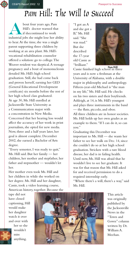#### Pam Hill: The Will to Succeed

bout four years ago, Pam<br>
Hill's doctor warned that<br>
if shecontinued to work<br>
inductrial is he do wisht has been the Hill's doctor warned that industrial jobs she might lose her ability to hear. At the time, she was a single parent supporting three children by working at an area plant. Ms. Hill's vocational rehabilitation counselor offered a solution: go to college. The Weaver resident was skeptical. A teenage pregnancy and a bout of mononucleosis derailed Ms. Hill's high school graduation. Still, she had come back and proven herself, earning her GED (General Educational Development certificate) six months before the rest of her high school class graduated. At age 30, Ms. Hill enrolled at Jacksonville State University as a Communication major with a concentration in New Media. Concerned that her hearing loss would affect the accuracy of her work in print journalism, she opted for new media. Now, three and a half years later, her goal is almost complete. December 2002, she earned a Bachelor of Arts degree.

"Every semester, I was ready to quit," Ms. Hill said. But her family — her children, her mother and stepfather, her father and stepmother — wouldn't let her.

Her mother even took Ms. Hill and her children in while she worked on her degree. Ms. Hill and her daughter, Cassie, took a video learning course, American history, together. Because the

"I got an A and she got a B," Ms. Hill said. "She was mad." But she described the 17-year old Cassie as "brilliant."



Cassie finished high school in three **Pam Hill**years and is now a freshman at the University of Alabama, with a double major in philosophy and anthropology. Fifteen-year-old Michael is "the man in my life," Ms. Hill said. He checks on his two sisters and their boyfriends. Ashleigh, at 14, is Ms. Hill's youngest and plays three instruments in the band — the flute, piccolo, and oboe. All three children are in honor societies. Ms. Hill holds up her own grades as an example to them. "If I can do it, so can you."

Graduating this December was important to Ms. Hill — she wants her father to see her walk on Dec. 14, since she couldn't do so at her high school graduation. Stricken with a rare blood disease, her dad is in failing health. Until now, Ms. Hill was afraid that he wouldn't live to see her graduate. It was for that reason that Ms. Hill asked for and received permission to do a required internship early.

"Where there's a will, there's a way," said Ms. Hill.

tape did not have closed captioning, Hill would make her daughter watch it over and over with

her so she wouldn't miss anything.



This article was originally published by the Jacksonville News in the "Town and Gown" column written by Dr. William A. Meehan.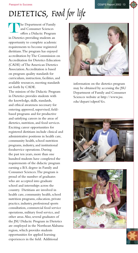### DIETETICS, Food for life

he Department of Family and Consumer Sciences offers a Didactic Program in Dietetics providing students an opportunity to complete academic requirements to become registered dietitians. The program has enjoyed accreditation by The Commission on Accreditation for Dietetics Education (CADE) of The American Dietetics Association. Accreditation is based on program quality standards for curriculum, instruction, facilities, and available resources, meeting standards set forth by CADE.

The mission of the Didactic Program in Dietetics provides students with the knowledge, skills, standards, and ethical awareness necessary for entering approved, supervised, fieldbased programs and for productive and satisfying careers in the areas of dietetics, nutrition, and food services. Exciting career opportunities for registered dietitians include clinical and administrative positions in health care, community health, school nutrition programs, industry, and institutional foodservice operations. During the past ten years, more than one hundred students have completed the requirements of the didactic program earning a B.S. degree in Family and Consumer Sciences. The program is proud of the number of graduates who are accepted into graduate school and internships across the country. Dietitians are involved in health care, community health, school nutrition programs, education, private practice, industry, professional sports consultation, commercial food service operations, military food service, and other areas. Also, several graduates of the JSU Didactic Program in Dietetics are employed in the Northeast Alabama region, which provides students opportunities for applied learning experiences in the field. Additional



information on the dietetics program may be obtained by accessing the JSU Department of Family and Consumer Sciences website at http://www.jsu. edu/depart/edprof/fcs.





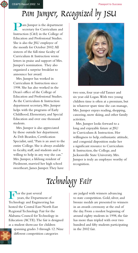#### Pam Jumper, Recognized by JSU

am Jumper is the department secretary for Curriculum and Instruction (C&I) in the College of Education and Professional Studies. She is also the JSU employee of the month for October 2002. All sixteen of the full-time faculty of Curriculum & Instruction wrote letters in praise and support of Mrs. Jumper's nomination. They also organized a surprise breakfast to announce her award.

Mrs. Jumper has worked in Curriculum & Instruction since 1998. She has also worked in the Dean's office of the College of Education and Professional Studies. As the Curriculum & Instruction department secretary, Mrs. Jumper helps with the programs of Early Childhood, Elementary, and Special Education and over one thousand students.

Mrs. Jumper is also appreciated by those outside her department. As Deb Bearden, Certification Specialist, said, "Pam is an asset to the entire College. She is always available to faculty, staff, and students and is willing to help in any way she can." Mrs. Jumper, a lifelong resident of Piedmont, married her high school sweetheart, James Jumper. They have



two sons, four year-old Tanner and six year-old Logan. With two young children time is often at a premium, but in whatever spare time she can manage, Mrs. Jumper enjoys reading, shopping, canoeing, snow skiing, and other family activities.

Mrs. Jumper looks forward to a long and enjoyable future at JSU in Curriculum & Instruction. Her willingness to help, enthusiastic attitude, and congenial disposition make her a significant resource to Curriculum & Instruction, the College, and Jacksonville State University. Mrs. Jumper is truly an employee worthy of recognition.

# Technology Fair

For the past several years, the Department of Technology and Engineering has hosted the Central East/North East Regional Technology Fair for the Alabama Council for Technology in Education (ACTE). The fair is designed as a student showcase for children

spanning grades 3 through 12. Nine different competition categories

are judged with winners advancing to state competition. Gold, silver, and bronze medals are presented to winners in an awards ceremony at the end of the day. From a modest beginning of around eighty students in 1998, the fair has more than tripled with over two hundred and fifty students participating in the 2002 fair.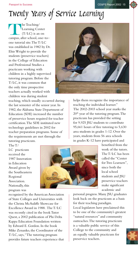Passport to Success **CE&PS Report 2002 is a participate of the CE&PS Report 2002 15** 

# Twenty Years of Service Learning

the Teaching/<br>Learning Central<br>(T/LC) is an Learning Center (T/LC) is an on campus, after school, one–to– one tutorial site. The T/LC was established in 1982 by Dr. Elsie Wright to provide the students (preservice teachers) in the College of Education and Professional Studies a practicum working with children in a highly supervised tutoring program. Before the T/LC, it was common that the only time prospective teachers actually worked with children was during student

teaching, which usually occurred during the last semester of the senior year. In 1982, the Alabama State Department of Education (SDE) increased the number of preservice hours required for teacher certification. The SDE instituted new technology guidelines in 2002 for teacher preparation programs. Some of the requirements are met through the tutoring practicum.

The T/ LC practicum received the 1987 Innovation in Education Award given by the Southeastern Regional Association. Nationally, this program was



recognized by the American Association of State Colleges and Universities with the Christa McAuliffe Showcase for Excellence Award in 1988. The T/LC was recently cited in the book Tutor Quest, a 2002 publication of Phi Delta Kappa Education Foundation written by Edward E. Gordon. In the book Mike Zenanko, the Coordinator of the T/LC, says, "The tutoring program provides future teachers experience that



helps them recognize the importance of reaching the individual learner." The 2002-2003 school year marks the 20<sup>th</sup> year of the tutoring program. The practicum has provided the setting for 9,925 JSU students to contribute 95,661 hours of free tutoring to 5,630 area students in grades 1-12. Over the years, students from 56 area schools in grades K-12 have participated and

> benefited from the work of the tutors. The T/LC has been called the "Center for Two Learners", since both the local school students and JSU preservice teachers make significant academic and

personal progress. Many JSU graduates look back on the practicum as a basis for their teaching paradigm. Local legislators have proclaimed this to be one of the community's greatest

"natural resources" and community outreaches. The tutoring practicum is a valuable public service of this College to the community and an equally valuable practicum for preservice teachers.

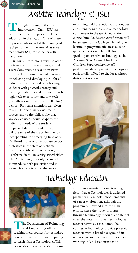#### Passport to Success

## Assistive Technology at JSU

hrough funding of the State Improvement Grant, JSU has been able to help improve public school education in the region. One of these improvements included the training of JSU personnel in the area of assistive technology (AT) for students with disabilities.

Dr. Larry Beard, along with 28 other professionals from seven states, attended a weeklong training session in New Orleans. This training included sessions on selecting and developing AT for all individuals, but focused on school-aged students with physical, sensory, and learning disabilities and the use of both high-tech (electronic) and low-tech (over-the-counter, more cost effective) devices. Particular attention was given to a multi-disciplinary assessment process and to the philosophy that any device used should adapt to the individual needs of the student.

Special Education students at JSU will use state of the art techniques by incorporating the emerging field of AT. Dr. Beard is one of only two university professors in the state of Alabama to earn a certificate in AT through California State University-Northridge. This AT training not only permits JSU to introduce both preservice and inservice teachers to a specific area in the

expanding field of special education, but also strengthens the assistive technology component in the special education curriculum. Dr. Beard's certification will be an asset to the College. He will guest lecture in programmatic areas outside special education. He will also be speaking on assistive technology at the Alabama State Council for Exceptional Children Superconference. AT professional development workshops are periodically offered to the local school districts at no cost.



## Technology Education





he Department of Technology and Engineering offers teaching field courses for secondary education majors that are preparing to teach Career Technologies. This is a relatively new certification option

at JSU in a non-traditional teaching field. Career Technologies is designed primarily as a middle school program of career exploration, although the program can extend into the high school. Since the students progress through technology modules at different rates, the potential career technologies teacher serves as a facilitator. The courses in Technology provide potential teachers with a broad background in technology and hands-on experiences working in lab-based instruction.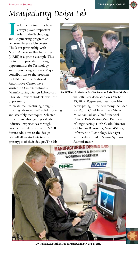# Manufacturing Design Lab

Industry partnerships have<br>always played important<br>roles in the Technology<br>and Engineering program at always played important roles in the Technology and Engineering program at Jacksonville State University. The latest partnership with North American Bus Industries (NABI) is a prime example. This partnership provides exciting opportunities for Technology and Engineering students. Major contributions to the program by NABI and the National Automotive Center have assisted JSU in establishing a Manufacturing Design Laboratory. This lab provides students with the

opportunity to create manufacturing designs utilizing advanced 3-D solid modeling and assembly techniques. Selected students are also gaining valuable industrial experiences through cooperative education with NABI. Future additions to the design lab will allow students to create prototypes of their designs. The lab



was officially dedicated on October 23, 2002. Representatives from NABI participating in the ceremony included Pat Rona, Chief Executive Officer; Mike McCullars, Chief Financial Officer; Bob Zeaton, Vice President of Engineering; Herb Clark, Director of Human Resources; Mike Wallner, Information Technology Manager; and Rodney Snider, Senior Systems Administrator. **Dr. William A. Meehan, Mr. Par Rona, and Mr. Terry Marbut**



**Dr. William A. Meehan, Mr. Par Rona, and Mr. Bob Zeaton**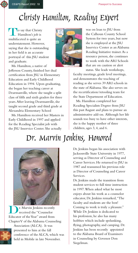# Christy Hamilton, Reading Expert

**To say that Christy** Hamilton's job is multifaceted is quite an understatement. However, saying that she is outstanding in her field is an accurate portrayal of this JSU student and graduate.



Ms. Hamilton, a native of Jefferson County, finished her dual certification from JSU in Elementary Education and Early Childhood Education in 1994. Upon graduating, she began her teaching career at Dearmanville, where she taught a split class of fifth and sixth graders for three years. After leaving Dearmanville, she taught second grade and third grade at Alexandria Elementary School

Ms. Hamilton received her Masters in Early Childhood in 1997 and applied for the Reading Specialist job with the JSU Inservice Center. She actually

was on loan to JSU from the Calhoun County School System for two years, but now she is employed at the JSU Inservice Center as an Alabama Reading Initiative trainer. As a resource person, she continues to work with the ARI Schools that are on caution or alert status. She leads workshops,

faculty meetings, grade level meetings, and demonstrates the teaching of reading as she serves 39 ARI schools in the state of Alabama. She also serves on the recertification/retooling team for the State Department of Education.

Ms. Hamilton completed her Reading Specialists Degree from JSU this past August and plans to pursue an administrative add-on. Although her life sounds too busy to have other interests, she is the happy mother of three children, ages 3, 4, and 6.

#### Dr. Marvin Jenkins, Honored



r. Marvin Jenkins recently received the "Counselor Educator of the Year" award from Chapter V of the Alabama Counseling Association (ALCA). It was

presented to him at the fall conference of the ALCA, which was held in Mobile in late November.

Dr. Jenkins began his association with Jacksonville State University in 1977, serving as Director of Counseling and Career Services. He returned to JSU in 1987 and reassumed his previous role as Director of Counseling and Career Services.

Dr. Jenkins made the transition from student services to full time instruction in 1997. When asked what he most enjoys about his work as a counselor educator, Dr. Jenkins remarked, "The faculty and students are the best! Coming to work is truly a pleasure." While Dr. Jenkins is dedicated to his profession, he also has many hobbies which include spelunking, flying, photography, and camping. Dr. Jenkins has been recently appointed to the Alabama Board of Examiners in Counseling by Govenor Don Siegelman.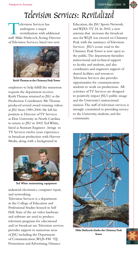#### Television Services: Revitalized

Elevision Services has<br>
undergone a major<br>
revitalization with add<br>
staff Mike Hathcock Acting D undergone a major revitalization with additional staff. Mike Hathcock, Acting Director of Television Services, hired two new



**Keith Thomas at the Chimney Peak Tower**

employees to help fulfill the numerous requests the department receives. Keith Thomas returned to JSU as the Production Coordinator. Mr. Thomas produced several award winning videos at JSU from 1989-2000. He left his position as Director of TV Services at Elon University in North Carolina to return to JSU in 2002. Ted White, hired as Assistant Engineer , brings to TV Services twelve years experience in broadcast production with Harvest Media, along with a background in



**Ted White maintaining equipment**

industrial electronics, computer repair, and networking.

Television Services is a department in the College of Education and Professional Studies housed in Self Hall. State of the art video hardware and software are used to produce television programs for educational and/or broadcast use. Television services provides support to numerous areas of JSU including the Department of Communication, WLJS-FM 92J, Promotions and Advertising, Distance

Education, the JSU Sports Network, and WJXS-TV 24. In 2002, a new antenna that increases the broadcast area for WLJS was erected on Chimney Peak with the assistance of Television Services. JSU's scenic road to the Chimney Peak Tower is now open to the public. The department furnishes instructional and technical support to faculty and students, and also coordinates and engineers support of shared facilities and resources. Television Services also provides opportunities for communication students to work on productions. All activities of TV Services are designed to positively impact JSU's public image and the University's instructional mission. The staff of television services is strongly committed to providing service to the University, students, and the community.



**Mike Hathcock climbs the Chimney Peak Tower**

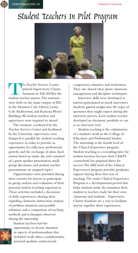#### Student Teachers In Pilot Program



The Teacher Service Center<br>piloted Supervisory Cluster<br>Seminars in Fall 2002for the piloted Supervisory Cluster Seminars in Fall 2002for the student teacher interns. The seminars were held on the main campus of JSU in the Houston Cole Library, Leone Cole Auditorium, and Ramona Wood Building. All student teachers and supervisors were required to attend.

 The seminars, conducted by the Teacher Service Center and facilitated by the University supervisors, were designed to parallel the student teaching experience in order to provide an opportunity for reflection, professional growth, and the exchange of ideas. Each session lasted an entire day and consisted of a guest speaker presentation, small group discussion, and student teacher presentations on assigned topics.

 Opportunities were provided during these sessions for interns to participate in group analysis and evaluation of their personal student teaching experiences. These activities included a discussion of daily experiences, sharing ideas regarding classroom instruction, analysis of problem situations and possible solutions, and a comparison of teaching methods and techniques observed during the internship.



 Student teachers had the opportunity to devote attention to aspects of professionalism that included work ethics, confidentiality, personal qualities, instructional

competency, initiative, and motivation. They also shared ideas about classroom management and discipline techniques.

 Interview skills were developed as interns participated in mock interviews. Students gained insight into the types of questions they might expect during the interview process. Each student teacher developed an electronic portfolio to use as an interview tool.

 Student teaching is the culmination of a student's work in the College of Education and Professional Studies. The internship is the fourth level of the Clinical Experience program. Student teaching is a rewarding time for student teachers because their CE&PS coursework has prepared them for success. The fifth level of the Clinical Experiences program provides graduates support during their first year of teaching. The entire Clinical Experience Program is a developmental period that helps students make the transition from student to teacher, ready for their own classroom and students. Supervisory Cluster Seminars are a way to facilitate and tie together these experiences.

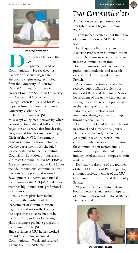

**Dr. Kingsley Harbor**

r. Kingsley Harbor is the new Department Head of Communication. He received his Bachelor of Science degree in electronics engineering technology from the University of Houston Central Campus; his master's in broadcasting from Southern University and Agricultural & Mechanical College, Baton Rouge; and his Ph.D. in journalism from Southern Illinois University, Carbondale.

Dr. Harbor comes to JSU from Mississippi Valley State University where he worked for eight and half years. He began the university's first broadcasting program and later became Founding Chair of the MVSU Department of Mass Communication. Before he left, the department was scheduled for accreditation by the Accrediting Council for Education in Journalism and Mass Communication (ACEJMC). Areas of research pursued by Dr. Harbor include international communication, freedom of the press, and national development. He serves on national committees of the ACEJMC and holds membership in numerous professional organizations.

Dr. Harbor's plans here include increasing the visibility of the Department of Communication regionally and nationally; leading the department to accreditation by the ACEJMC; and, as a long-range plan, bringing a graduate program in communication to JSU. Since arriving at JSU, he has worked toward establishing an annual Communication Week and received a grant from the Alabama Press

#### Two Communicators

Association to set up a Journalism Institute that will begin in summer 2003.

"I am indeed excited about the future of communication at JSU," Dr. Harbor says.

Dr. Augustine Ihator is a new Associate Professor in Communication at JSU. Dr. Ihator received a doctorate in mass communication from Howard University and has extensive professional, academic, and research experience. He also speaks fluent French.

As a communication specialist, he resolved public affairs problems for the World Bank and the United States Department of the Army headquarters, among others. He recently participated in the training of journalists from Indonesia and Cambodia and in internationalizing a university campus through federal grants.

Dr. Ihator published his research work in national and international journals. Dr. Ihator is currently reviewing JSU's public relations curriculum, creating a public relations organization for communication majors, and is instituting a program that will bring industry professionals to campus to train students.

Dr. Ihator is also one of the founders of the JSU Chapter of Phi Kappa Phi, an honor society, member of the JSU Communication Board, and the Faculty Senate.

"I plan to include my students in both professional and research aspects of communication and in global affairs," Dr. Ihator said.



**Dr. Augustine Ihator**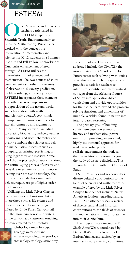CE&PS Report 2002 · 22

#### ESTEEM

ver 60 service and preservice teachers participated in ESTEEM (Exploring Scientific Truths Environmentally to Enhance Mathematics). Participants worked with the concept the interrelation of mathematics and sciences for K-12 students in a Summer Institute and Fall Follow-up Workshops. Curricular enhancement offered through ESTEEM utilizes the interrelationship of sciences and mathematics. The two courses of study complement each other in the areas of observation, discovery, prediction, problem solving, and theory usage. ESTEEM incorporates these elements into other areas of emphasis such as appreciation of the natural world and a fascination with mathematical and scientific quests. A very simple example uses Fibonacci numbers to explain symmetry and asymmetry in nature. Many activities including calculating biodiversity indices, weather monitoring, and water chemistry and quality combine the sciences and rely on mathematical processes such as grouping, calculating, predicting, or using logarithms and statistics. Some workshop topics, such as eutrophication, the natural aging process of streams and lakes due to sedimentation and nutrient loading over time, and teratology, the study of materials that cause birth defects, require usage of higher order mathematics.

Utilizing the Little River Canyon yields various combinations that are interrelated such as life science and physical science. Example programs offered by Little River Canyon staff use the mountain, forest, and waters of the canyon as a classroom, touching on issues related to ornithology,



ichthyology, microbiology, geology, watershed and waterways, ecology, herpetology, archaeology, zoology, astronomy,



and entomology. Historical topics addressed include the Civil War, the iron industry, and Cherokee folklore. Future issues such as living with toxins were also covered. These experiences provided a basis for teachers to interrelate scientific and mathematical concepts from the Alabama Course of Study into application-based curriculum and provide opportunities for their students to extend the problem solving situations and dimensions of multiple variables found in nature into inquiry-based reasoning.

The primary goal of building curriculum based on scientific literacy and mathematical power stems from providing an enriched, highly motivational approach for students to solve problems in a realistic environment that reflects the interrelationships found beyond the study of discrete disciplines. This approach dovetails with the Courses of Study.

ESTEEM values and acknowledges diverse cultural contributions to the fields of sciences and mathematics. An example offered by the Little River Canyon field school includes Native American folklore regarding nature. ESTEEM participants seek a variety of diverse cultural and historical contributions to the fields of sciences and mathematics and incorporate them into their curriculum.

The program was directed by Dr. Sheila Anne Webb, coordinated by Dr. Janell Wilson, evaluated by Dr. Barbara Yunker, and advised by an interdisciplinary steering committee.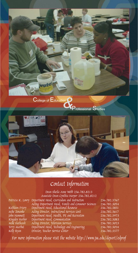



#### Contact Information

|                   | Dean Sheila Anne Webb 256.782.8213<br>Associate Dean Cynthia Harper 256.782.8212 |              |
|-------------------|----------------------------------------------------------------------------------|--------------|
| Patricia K. Lowry | Department Head, Curriculum and Instruction                                      | 256.782.5767 |
|                   | Acting Department Head, Family and Consumer Sciences                             | 256.782.5054 |
| Kathleen Friery   | Department Head, Educational Resource                                            | 256.782.5851 |
| Mike Zenanko I    | Acting Director, Instructional Services Unit                                     | 256.782.5617 |
| John Hammett      | Department Head, Health, PE and Recreation                                       | 256.782.5973 |
| Kingsley Harbor   | Department Head, Communication                                                   | 256.782.5083 |
| Mike Hathcock     | Acting Director, Television Services                                             | 256.782.5023 |
| Terry Marbut      |                                                                                  | 256.782.5034 |
| Kelly Ryan        | Department Head, Technology and Engineering<br>Director, Teacher Service Center  | 256.782.5577 |
|                   |                                                                                  |              |

For more information please visit the website http://www.jsu.edu/depart/edprof